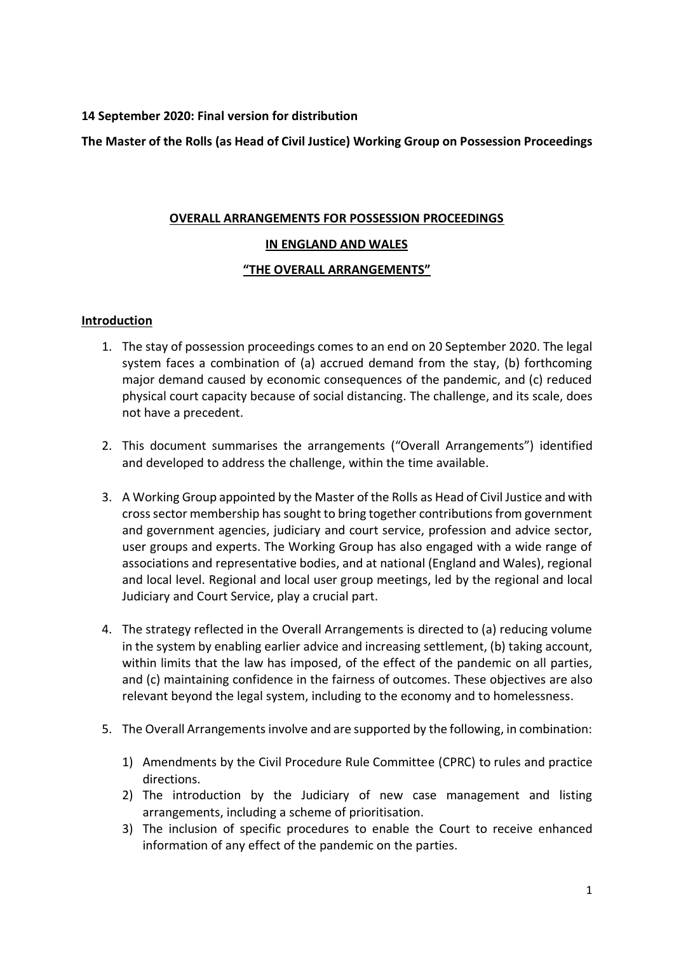## **14 September 2020: Final version for distribution**

**The Master of the Rolls (as Head of Civil Justice) Working Group on Possession Proceedings**

# **OVERALL ARRANGEMENTS FOR POSSESSION PROCEEDINGS**

## **IN ENGLAND AND WALES**

## **"THE OVERALL ARRANGEMENTS"**

## **Introduction**

- 1. The stay of possession proceedings comes to an end on 20 September 2020. The legal system faces a combination of (a) accrued demand from the stay, (b) forthcoming major demand caused by economic consequences of the pandemic, and (c) reduced physical court capacity because of social distancing. The challenge, and its scale, does not have a precedent.
- 2. This document summarises the arrangements ("Overall Arrangements") identified and developed to address the challenge, within the time available.
- 3. A Working Group appointed by the Master of the Rolls as Head of Civil Justice and with cross sector membership has sought to bring together contributions from government and government agencies, judiciary and court service, profession and advice sector, user groups and experts. The Working Group has also engaged with a wide range of associations and representative bodies, and at national (England and Wales), regional and local level. Regional and local user group meetings, led by the regional and local Judiciary and Court Service, play a crucial part.
- 4. The strategy reflected in the Overall Arrangements is directed to (a) reducing volume in the system by enabling earlier advice and increasing settlement, (b) taking account, within limits that the law has imposed, of the effect of the pandemic on all parties, and (c) maintaining confidence in the fairness of outcomes. These objectives are also relevant beyond the legal system, including to the economy and to homelessness.
- 5. The Overall Arrangements involve and are supported by the following, in combination:
	- 1) Amendments by the Civil Procedure Rule Committee (CPRC) to rules and practice directions.
	- 2) The introduction by the Judiciary of new case management and listing arrangements, including a scheme of prioritisation.
	- 3) The inclusion of specific procedures to enable the Court to receive enhanced information of any effect of the pandemic on the parties.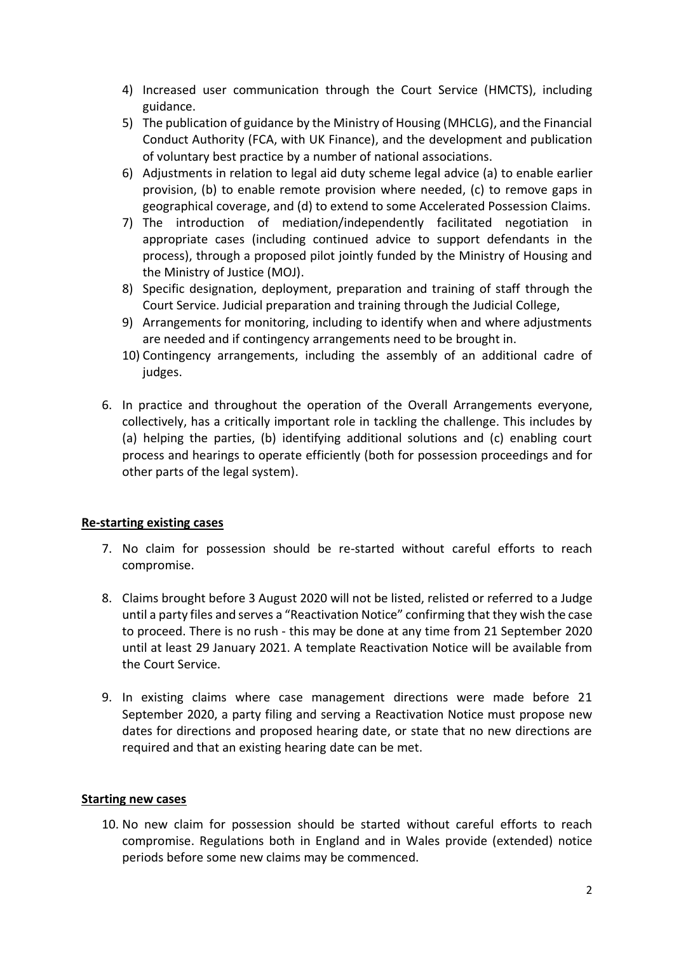- 4) Increased user communication through the Court Service (HMCTS), including guidance.
- 5) The publication of guidance by the Ministry of Housing (MHCLG), and the Financial Conduct Authority (FCA, with UK Finance), and the development and publication of voluntary best practice by a number of national associations.
- 6) Adjustments in relation to legal aid duty scheme legal advice (a) to enable earlier provision, (b) to enable remote provision where needed, (c) to remove gaps in geographical coverage, and (d) to extend to some Accelerated Possession Claims.
- 7) The introduction of mediation/independently facilitated negotiation in appropriate cases (including continued advice to support defendants in the process), through a proposed pilot jointly funded by the Ministry of Housing and the Ministry of Justice (MOJ).
- 8) Specific designation, deployment, preparation and training of staff through the Court Service. Judicial preparation and training through the Judicial College,
- 9) Arrangements for monitoring, including to identify when and where adjustments are needed and if contingency arrangements need to be brought in.
- 10) Contingency arrangements, including the assembly of an additional cadre of judges.
- 6. In practice and throughout the operation of the Overall Arrangements everyone, collectively, has a critically important role in tackling the challenge. This includes by (a) helping the parties, (b) identifying additional solutions and (c) enabling court process and hearings to operate efficiently (both for possession proceedings and for other parts of the legal system).

## **Re-starting existing cases**

- 7. No claim for possession should be re-started without careful efforts to reach compromise.
- 8. Claims brought before 3 August 2020 will not be listed, relisted or referred to a Judge until a party files and serves a "Reactivation Notice" confirming that they wish the case to proceed. There is no rush - this may be done at any time from 21 September 2020 until at least 29 January 2021. A template Reactivation Notice will be available from the Court Service.
- 9. In existing claims where case management directions were made before 21 September 2020, a party filing and serving a Reactivation Notice must propose new dates for directions and proposed hearing date, or state that no new directions are required and that an existing hearing date can be met.

## **Starting new cases**

10. No new claim for possession should be started without careful efforts to reach compromise. Regulations both in England and in Wales provide (extended) notice periods before some new claims may be commenced.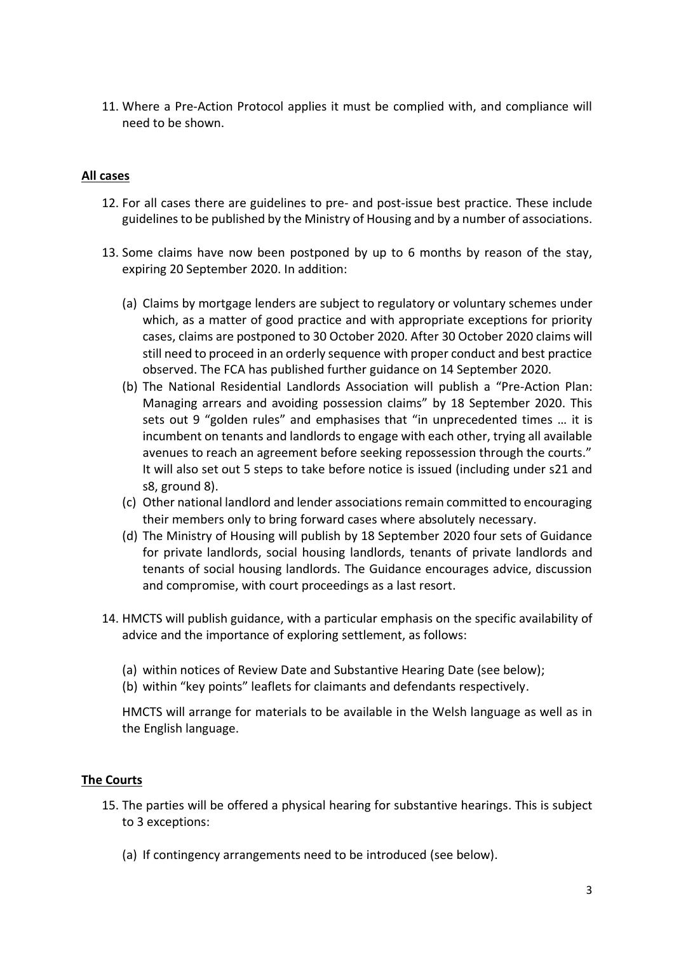11. Where a Pre-Action Protocol applies it must be complied with, and compliance will need to be shown.

## **All cases**

- 12. For all cases there are guidelines to pre- and post-issue best practice. These include guidelines to be published by the Ministry of Housing and by a number of associations.
- 13. Some claims have now been postponed by up to 6 months by reason of the stay, expiring 20 September 2020. In addition:
	- (a) Claims by mortgage lenders are subject to regulatory or voluntary schemes under which, as a matter of good practice and with appropriate exceptions for priority cases, claims are postponed to 30 October 2020. After 30 October 2020 claims will still need to proceed in an orderly sequence with proper conduct and best practice observed. The FCA has published further guidance on 14 September 2020.
	- (b) The National Residential Landlords Association will publish a "Pre-Action Plan: Managing arrears and avoiding possession claims" by 18 September 2020. This sets out 9 "golden rules" and emphasises that "in unprecedented times … it is incumbent on tenants and landlords to engage with each other, trying all available avenues to reach an agreement before seeking repossession through the courts." It will also set out 5 steps to take before notice is issued (including under s21 and s8, ground 8).
	- (c) Other national landlord and lender associations remain committed to encouraging their members only to bring forward cases where absolutely necessary.
	- (d) The Ministry of Housing will publish by 18 September 2020 four sets of Guidance for private landlords, social housing landlords, tenants of private landlords and tenants of social housing landlords. The Guidance encourages advice, discussion and compromise, with court proceedings as a last resort.
- 14. HMCTS will publish guidance, with a particular emphasis on the specific availability of advice and the importance of exploring settlement, as follows:
	- (a) within notices of Review Date and Substantive Hearing Date (see below);
	- (b) within "key points" leaflets for claimants and defendants respectively.

HMCTS will arrange for materials to be available in the Welsh language as well as in the English language.

#### **The Courts**

- 15. The parties will be offered a physical hearing for substantive hearings. This is subject to 3 exceptions:
	- (a) If contingency arrangements need to be introduced (see below).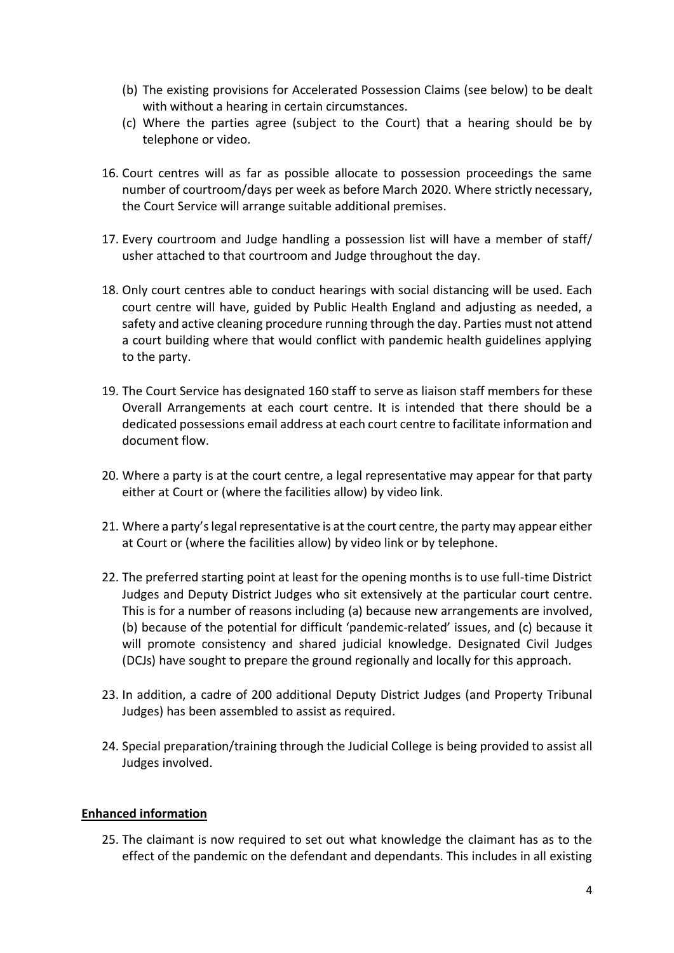- (b) The existing provisions for Accelerated Possession Claims (see below) to be dealt with without a hearing in certain circumstances.
- (c) Where the parties agree (subject to the Court) that a hearing should be by telephone or video.
- 16. Court centres will as far as possible allocate to possession proceedings the same number of courtroom/days per week as before March 2020. Where strictly necessary, the Court Service will arrange suitable additional premises.
- 17. Every courtroom and Judge handling a possession list will have a member of staff/ usher attached to that courtroom and Judge throughout the day.
- 18. Only court centres able to conduct hearings with social distancing will be used. Each court centre will have, guided by Public Health England and adjusting as needed, a safety and active cleaning procedure running through the day. Parties must not attend a court building where that would conflict with pandemic health guidelines applying to the party.
- 19. The Court Service has designated 160 staff to serve as liaison staff members for these Overall Arrangements at each court centre. It is intended that there should be a dedicated possessions email address at each court centre to facilitate information and document flow.
- 20. Where a party is at the court centre, a legal representative may appear for that party either at Court or (where the facilities allow) by video link.
- 21. Where a party's legal representative is at the court centre, the party may appear either at Court or (where the facilities allow) by video link or by telephone.
- 22. The preferred starting point at least for the opening months is to use full-time District Judges and Deputy District Judges who sit extensively at the particular court centre. This is for a number of reasons including (a) because new arrangements are involved, (b) because of the potential for difficult 'pandemic-related' issues, and (c) because it will promote consistency and shared judicial knowledge. Designated Civil Judges (DCJs) have sought to prepare the ground regionally and locally for this approach.
- 23. In addition, a cadre of 200 additional Deputy District Judges (and Property Tribunal Judges) has been assembled to assist as required.
- 24. Special preparation/training through the Judicial College is being provided to assist all Judges involved.

#### **Enhanced information**

25. The claimant is now required to set out what knowledge the claimant has as to the effect of the pandemic on the defendant and dependants. This includes in all existing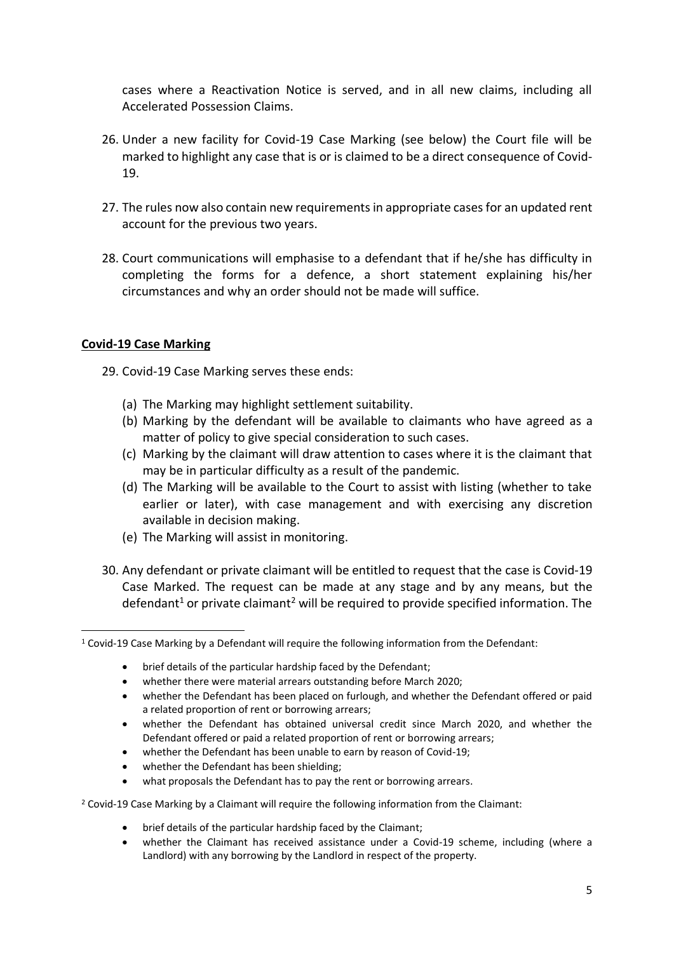cases where a Reactivation Notice is served, and in all new claims, including all Accelerated Possession Claims.

- 26. Under a new facility for Covid-19 Case Marking (see below) the Court file will be marked to highlight any case that is or is claimed to be a direct consequence of Covid-19.
- 27. The rules now also contain new requirements in appropriate cases for an updated rent account for the previous two years.
- 28. Court communications will emphasise to a defendant that if he/she has difficulty in completing the forms for a defence, a short statement explaining his/her circumstances and why an order should not be made will suffice.

## **Covid-19 Case Marking**

- 29. Covid-19 Case Marking serves these ends:
	- (a) The Marking may highlight settlement suitability.
	- (b) Marking by the defendant will be available to claimants who have agreed as a matter of policy to give special consideration to such cases.
	- (c) Marking by the claimant will draw attention to cases where it is the claimant that may be in particular difficulty as a result of the pandemic.
	- (d) The Marking will be available to the Court to assist with listing (whether to take earlier or later), with case management and with exercising any discretion available in decision making.
	- (e) The Marking will assist in monitoring.
- 30. Any defendant or private claimant will be entitled to request that the case is Covid-19 Case Marked. The request can be made at any stage and by any means, but the defendant<sup>1</sup> or private claimant<sup>2</sup> will be required to provide specified information. The

- brief details of the particular hardship faced by the Defendant;
- whether there were material arrears outstanding before March 2020;
- whether the Defendant has been placed on furlough, and whether the Defendant offered or paid a related proportion of rent or borrowing arrears;
- whether the Defendant has obtained universal credit since March 2020, and whether the Defendant offered or paid a related proportion of rent or borrowing arrears;
- whether the Defendant has been unable to earn by reason of Covid-19;
- whether the Defendant has been shielding;
- what proposals the Defendant has to pay the rent or borrowing arrears.
- <sup>2</sup> Covid-19 Case Marking by a Claimant will require the following information from the Claimant:
	- brief details of the particular hardship faced by the Claimant;
	- whether the Claimant has received assistance under a Covid-19 scheme, including (where a Landlord) with any borrowing by the Landlord in respect of the property.

<sup>1</sup> Covid-19 Case Marking by a Defendant will require the following information from the Defendant: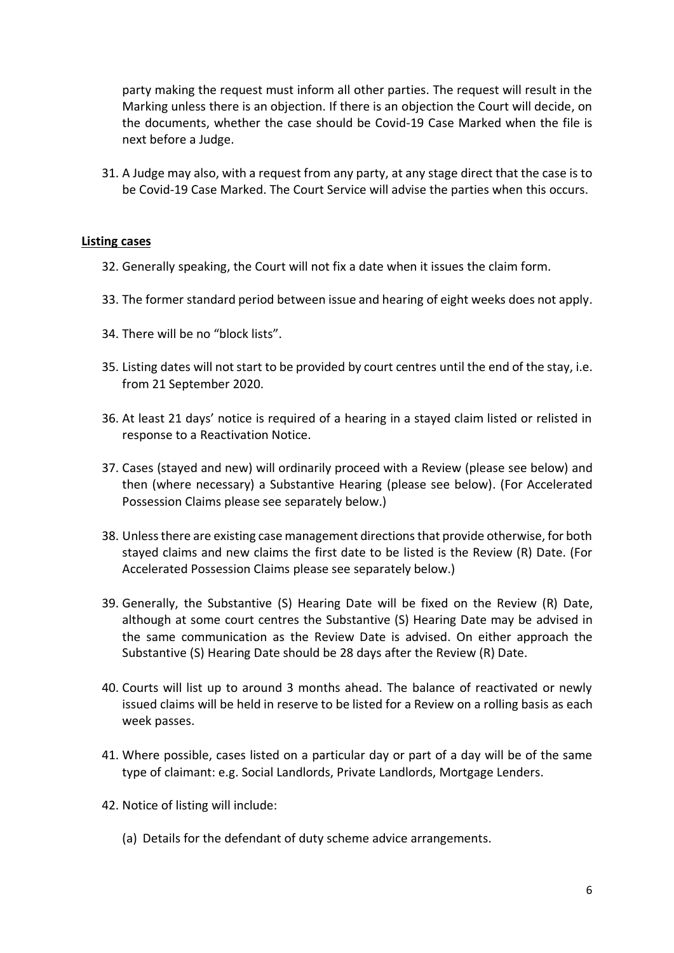party making the request must inform all other parties. The request will result in the Marking unless there is an objection. If there is an objection the Court will decide, on the documents, whether the case should be Covid-19 Case Marked when the file is next before a Judge.

31. A Judge may also, with a request from any party, at any stage direct that the case is to be Covid-19 Case Marked. The Court Service will advise the parties when this occurs.

#### **Listing cases**

- 32. Generally speaking, the Court will not fix a date when it issues the claim form.
- 33. The former standard period between issue and hearing of eight weeks does not apply.
- 34. There will be no "block lists".
- 35. Listing dates will not start to be provided by court centres until the end of the stay, i.e. from 21 September 2020.
- 36. At least 21 days' notice is required of a hearing in a stayed claim listed or relisted in response to a Reactivation Notice.
- 37. Cases (stayed and new) will ordinarily proceed with a Review (please see below) and then (where necessary) a Substantive Hearing (please see below). (For Accelerated Possession Claims please see separately below.)
- 38. Unless there are existing case management directionsthat provide otherwise, for both stayed claims and new claims the first date to be listed is the Review (R) Date. (For Accelerated Possession Claims please see separately below.)
- 39. Generally, the Substantive (S) Hearing Date will be fixed on the Review (R) Date, although at some court centres the Substantive (S) Hearing Date may be advised in the same communication as the Review Date is advised. On either approach the Substantive (S) Hearing Date should be 28 days after the Review (R) Date.
- 40. Courts will list up to around 3 months ahead. The balance of reactivated or newly issued claims will be held in reserve to be listed for a Review on a rolling basis as each week passes.
- 41. Where possible, cases listed on a particular day or part of a day will be of the same type of claimant: e.g. Social Landlords, Private Landlords, Mortgage Lenders.
- 42. Notice of listing will include:
	- (a) Details for the defendant of duty scheme advice arrangements.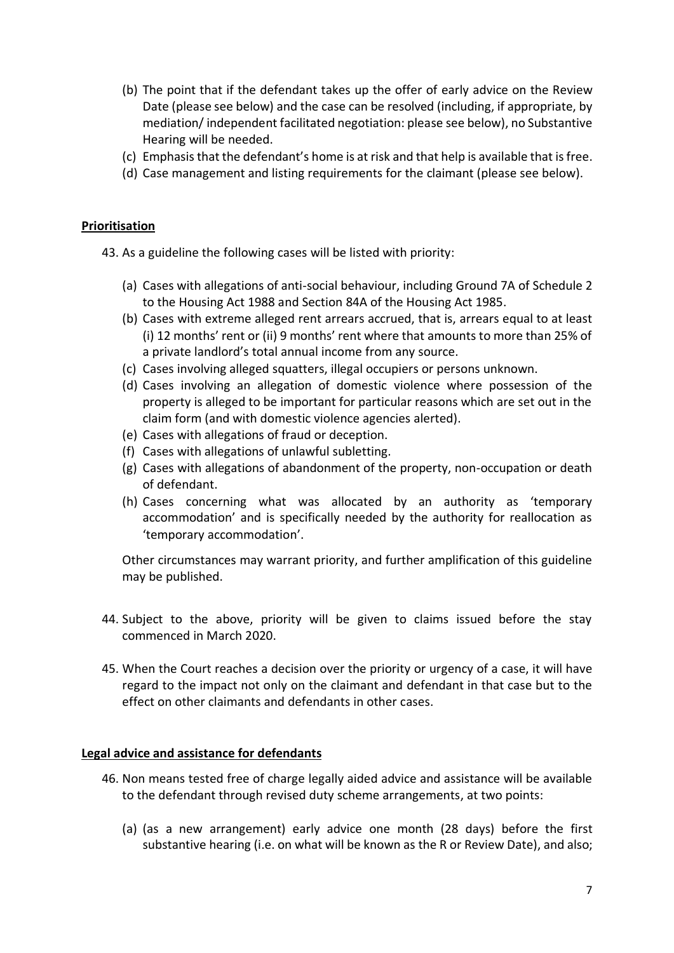- (b) The point that if the defendant takes up the offer of early advice on the Review Date (please see below) and the case can be resolved (including, if appropriate, by mediation/ independent facilitated negotiation: please see below), no Substantive Hearing will be needed.
- (c) Emphasis that the defendant's home is at risk and that help is available that is free.
- (d) Case management and listing requirements for the claimant (please see below).

#### **Prioritisation**

43. As a guideline the following cases will be listed with priority:

- (a) Cases with allegations of anti-social behaviour, including Ground 7A of Schedule 2 to the Housing Act 1988 and Section 84A of the Housing Act 1985.
- (b) Cases with extreme alleged rent arrears accrued, that is, arrears equal to at least (i) 12 months' rent or (ii) 9 months' rent where that amounts to more than 25% of a private landlord's total annual income from any source.
- (c) Cases involving alleged squatters, illegal occupiers or persons unknown.
- (d) Cases involving an allegation of domestic violence where possession of the property is alleged to be important for particular reasons which are set out in the claim form (and with domestic violence agencies alerted).
- (e) Cases with allegations of fraud or deception.
- (f) Cases with allegations of unlawful subletting.
- (g) Cases with allegations of abandonment of the property, non-occupation or death of defendant.
- (h) Cases concerning what was allocated by an authority as 'temporary accommodation' and is specifically needed by the authority for reallocation as 'temporary accommodation'.

Other circumstances may warrant priority, and further amplification of this guideline may be published.

- 44. Subject to the above, priority will be given to claims issued before the stay commenced in March 2020.
- 45. When the Court reaches a decision over the priority or urgency of a case, it will have regard to the impact not only on the claimant and defendant in that case but to the effect on other claimants and defendants in other cases.

#### **Legal advice and assistance for defendants**

- 46. Non means tested free of charge legally aided advice and assistance will be available to the defendant through revised duty scheme arrangements, at two points:
	- (a) (as a new arrangement) early advice one month (28 days) before the first substantive hearing (i.e. on what will be known as the R or Review Date), and also;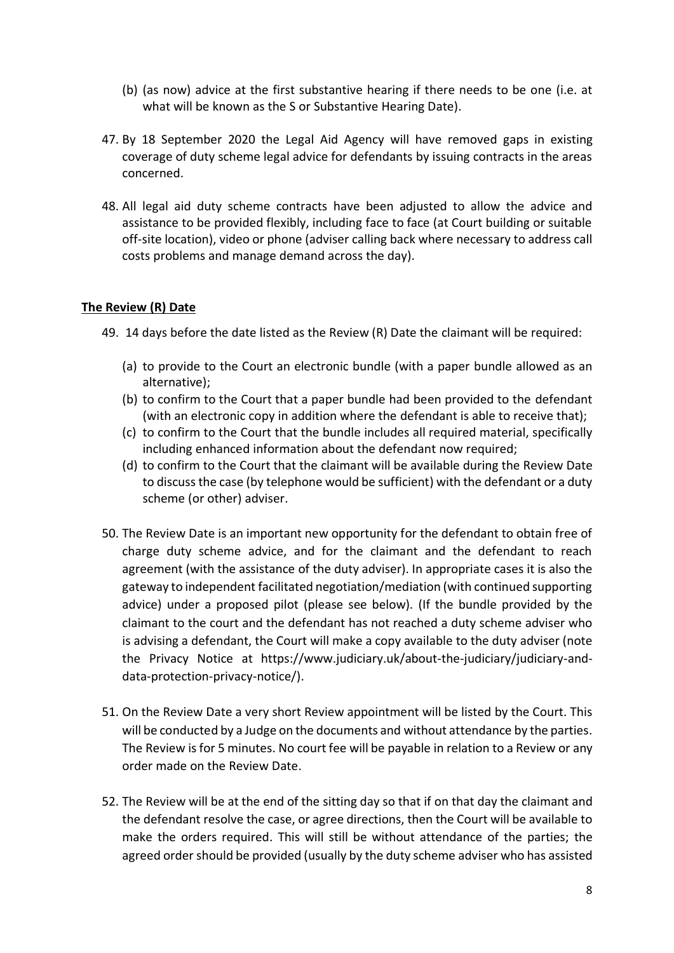- (b) (as now) advice at the first substantive hearing if there needs to be one (i.e. at what will be known as the S or Substantive Hearing Date).
- 47. By 18 September 2020 the Legal Aid Agency will have removed gaps in existing coverage of duty scheme legal advice for defendants by issuing contracts in the areas concerned.
- 48. All legal aid duty scheme contracts have been adjusted to allow the advice and assistance to be provided flexibly, including face to face (at Court building or suitable off-site location), video or phone (adviser calling back where necessary to address call costs problems and manage demand across the day).

## **The Review (R) Date**

- 49. 14 days before the date listed as the Review (R) Date the claimant will be required:
	- (a) to provide to the Court an electronic bundle (with a paper bundle allowed as an alternative);
	- (b) to confirm to the Court that a paper bundle had been provided to the defendant (with an electronic copy in addition where the defendant is able to receive that);
	- (c) to confirm to the Court that the bundle includes all required material, specifically including enhanced information about the defendant now required;
	- (d) to confirm to the Court that the claimant will be available during the Review Date to discuss the case (by telephone would be sufficient) with the defendant or a duty scheme (or other) adviser.
- 50. The Review Date is an important new opportunity for the defendant to obtain free of charge duty scheme advice, and for the claimant and the defendant to reach agreement (with the assistance of the duty adviser). In appropriate cases it is also the gateway to independent facilitated negotiation/mediation (with continued supporting advice) under a proposed pilot (please see below). (If the bundle provided by the claimant to the court and the defendant has not reached a duty scheme adviser who is advising a defendant, the Court will make a copy available to the duty adviser (note the Privacy Notice at https://www.judiciary.uk/about-the-judiciary/judiciary-anddata-protection-privacy-notice/).
- 51. On the Review Date a very short Review appointment will be listed by the Court. This will be conducted by a Judge on the documents and without attendance by the parties. The Review is for 5 minutes. No court fee will be payable in relation to a Review or any order made on the Review Date.
- 52. The Review will be at the end of the sitting day so that if on that day the claimant and the defendant resolve the case, or agree directions, then the Court will be available to make the orders required. This will still be without attendance of the parties; the agreed order should be provided (usually by the duty scheme adviser who has assisted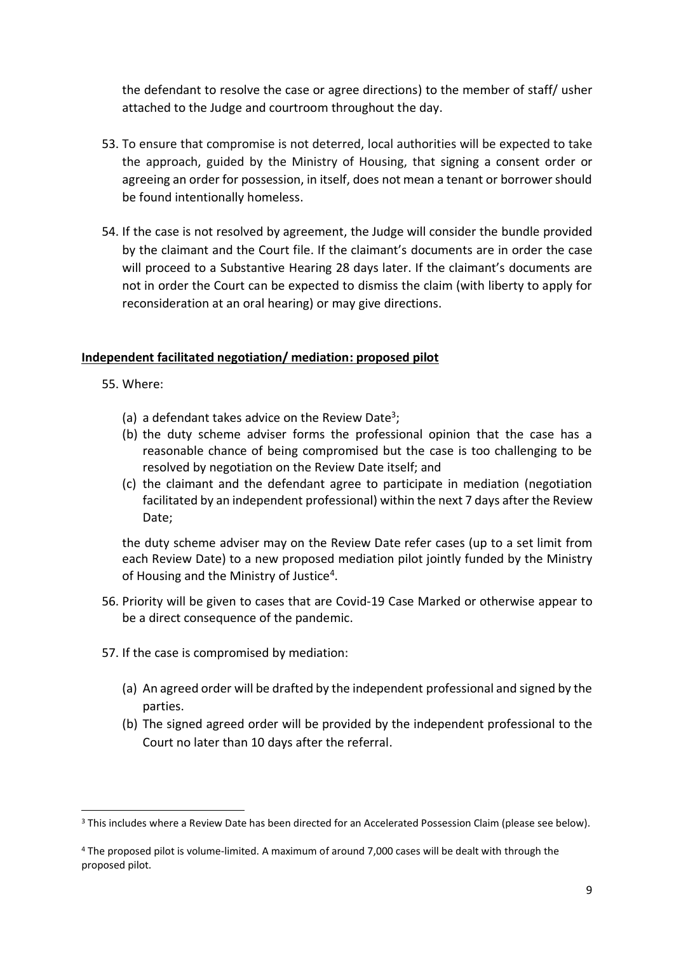the defendant to resolve the case or agree directions) to the member of staff/ usher attached to the Judge and courtroom throughout the day.

- 53. To ensure that compromise is not deterred, local authorities will be expected to take the approach, guided by the Ministry of Housing, that signing a consent order or agreeing an order for possession, in itself, does not mean a tenant or borrower should be found intentionally homeless.
- 54. If the case is not resolved by agreement, the Judge will consider the bundle provided by the claimant and the Court file. If the claimant's documents are in order the case will proceed to a Substantive Hearing 28 days later. If the claimant's documents are not in order the Court can be expected to dismiss the claim (with liberty to apply for reconsideration at an oral hearing) or may give directions.

## **Independent facilitated negotiation/ mediation: proposed pilot**

55. Where:

- (a) a defendant takes advice on the Review Date<sup>3</sup>;
- (b) the duty scheme adviser forms the professional opinion that the case has a reasonable chance of being compromised but the case is too challenging to be resolved by negotiation on the Review Date itself; and
- (c) the claimant and the defendant agree to participate in mediation (negotiation facilitated by an independent professional) within the next 7 days after the Review Date;

the duty scheme adviser may on the Review Date refer cases (up to a set limit from each Review Date) to a new proposed mediation pilot jointly funded by the Ministry of Housing and the Ministry of Justice<sup>4</sup>.

- 56. Priority will be given to cases that are Covid-19 Case Marked or otherwise appear to be a direct consequence of the pandemic.
- 57. If the case is compromised by mediation:
	- (a) An agreed order will be drafted by the independent professional and signed by the parties.
	- (b) The signed agreed order will be provided by the independent professional to the Court no later than 10 days after the referral.

<sup>&</sup>lt;sup>3</sup> This includes where a Review Date has been directed for an Accelerated Possession Claim (please see below).

<sup>4</sup> The proposed pilot is volume-limited. A maximum of around 7,000 cases will be dealt with through the proposed pilot.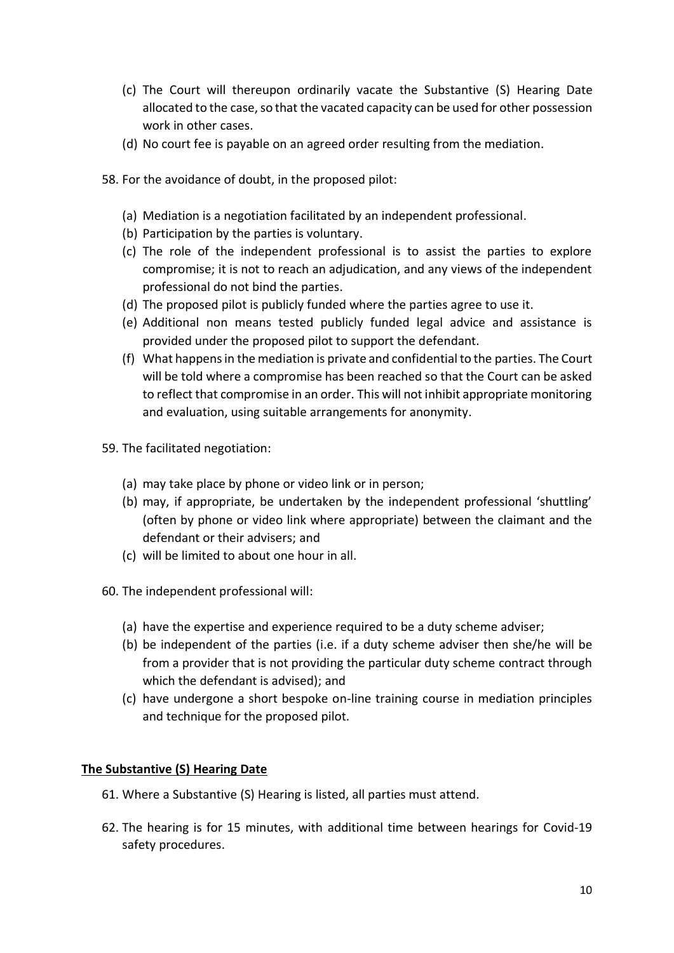- (c) The Court will thereupon ordinarily vacate the Substantive (S) Hearing Date allocated to the case, so that the vacated capacity can be used for other possession work in other cases.
- (d) No court fee is payable on an agreed order resulting from the mediation.
- 58. For the avoidance of doubt, in the proposed pilot:
	- (a) Mediation is a negotiation facilitated by an independent professional.
	- (b) Participation by the parties is voluntary.
	- (c) The role of the independent professional is to assist the parties to explore compromise; it is not to reach an adjudication, and any views of the independent professional do not bind the parties.
	- (d) The proposed pilot is publicly funded where the parties agree to use it.
	- (e) Additional non means tested publicly funded legal advice and assistance is provided under the proposed pilot to support the defendant.
	- (f) What happens in the mediation is private and confidential to the parties. The Court will be told where a compromise has been reached so that the Court can be asked to reflect that compromise in an order. This will not inhibit appropriate monitoring and evaluation, using suitable arrangements for anonymity.
- 59. The facilitated negotiation:
	- (a) may take place by phone or video link or in person;
	- (b) may, if appropriate, be undertaken by the independent professional 'shuttling' (often by phone or video link where appropriate) between the claimant and the defendant or their advisers; and
	- (c) will be limited to about one hour in all.
- 60. The independent professional will:
	- (a) have the expertise and experience required to be a duty scheme adviser;
	- (b) be independent of the parties (i.e. if a duty scheme adviser then she/he will be from a provider that is not providing the particular duty scheme contract through which the defendant is advised); and
	- (c) have undergone a short bespoke on-line training course in mediation principles and technique for the proposed pilot.

#### **The Substantive (S) Hearing Date**

- 61. Where a Substantive (S) Hearing is listed, all parties must attend.
- 62. The hearing is for 15 minutes, with additional time between hearings for Covid-19 safety procedures.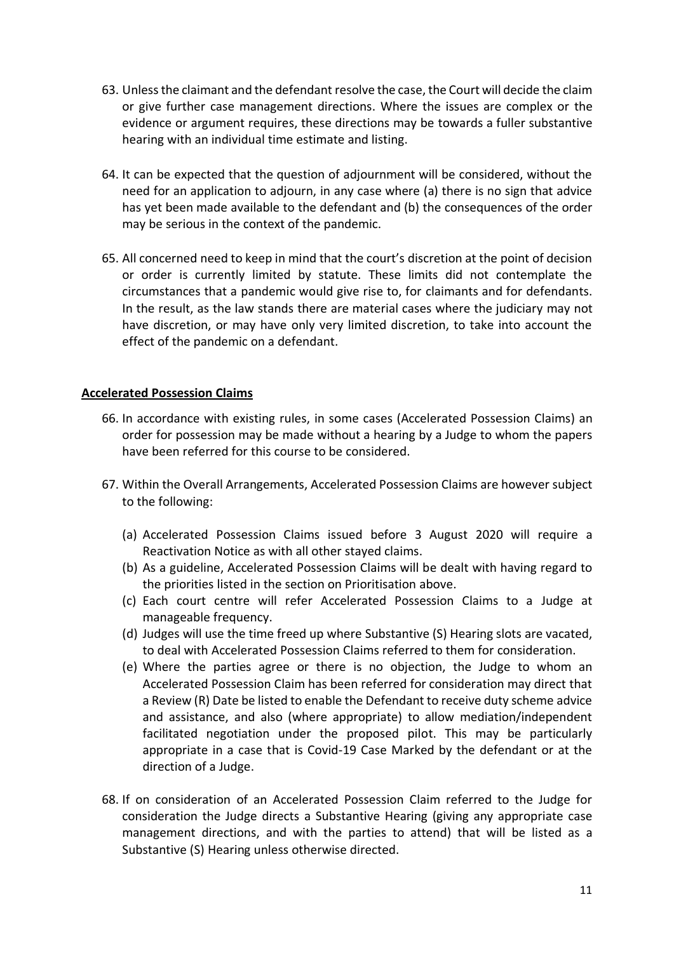- 63. Unless the claimant and the defendant resolve the case, the Court will decide the claim or give further case management directions. Where the issues are complex or the evidence or argument requires, these directions may be towards a fuller substantive hearing with an individual time estimate and listing.
- 64. It can be expected that the question of adjournment will be considered, without the need for an application to adjourn, in any case where (a) there is no sign that advice has yet been made available to the defendant and (b) the consequences of the order may be serious in the context of the pandemic.
- 65. All concerned need to keep in mind that the court's discretion at the point of decision or order is currently limited by statute. These limits did not contemplate the circumstances that a pandemic would give rise to, for claimants and for defendants. In the result, as the law stands there are material cases where the judiciary may not have discretion, or may have only very limited discretion, to take into account the effect of the pandemic on a defendant.

#### **Accelerated Possession Claims**

- 66. In accordance with existing rules, in some cases (Accelerated Possession Claims) an order for possession may be made without a hearing by a Judge to whom the papers have been referred for this course to be considered.
- 67. Within the Overall Arrangements, Accelerated Possession Claims are however subject to the following:
	- (a) Accelerated Possession Claims issued before 3 August 2020 will require a Reactivation Notice as with all other stayed claims.
	- (b) As a guideline, Accelerated Possession Claims will be dealt with having regard to the priorities listed in the section on Prioritisation above.
	- (c) Each court centre will refer Accelerated Possession Claims to a Judge at manageable frequency.
	- (d) Judges will use the time freed up where Substantive (S) Hearing slots are vacated, to deal with Accelerated Possession Claims referred to them for consideration.
	- (e) Where the parties agree or there is no objection, the Judge to whom an Accelerated Possession Claim has been referred for consideration may direct that a Review (R) Date be listed to enable the Defendant to receive duty scheme advice and assistance, and also (where appropriate) to allow mediation/independent facilitated negotiation under the proposed pilot. This may be particularly appropriate in a case that is Covid-19 Case Marked by the defendant or at the direction of a Judge.
- 68. If on consideration of an Accelerated Possession Claim referred to the Judge for consideration the Judge directs a Substantive Hearing (giving any appropriate case management directions, and with the parties to attend) that will be listed as a Substantive (S) Hearing unless otherwise directed.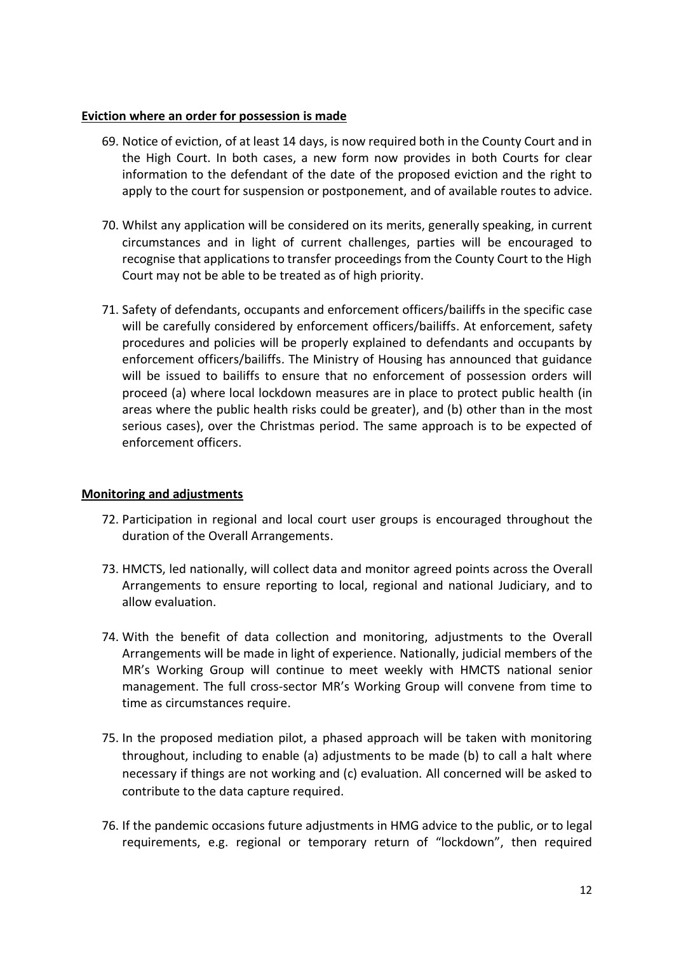### **Eviction where an order for possession is made**

- 69. Notice of eviction, of at least 14 days, is now required both in the County Court and in the High Court. In both cases, a new form now provides in both Courts for clear information to the defendant of the date of the proposed eviction and the right to apply to the court for suspension or postponement, and of available routes to advice.
- 70. Whilst any application will be considered on its merits, generally speaking, in current circumstances and in light of current challenges, parties will be encouraged to recognise that applications to transfer proceedings from the County Court to the High Court may not be able to be treated as of high priority.
- 71. Safety of defendants, occupants and enforcement officers/bailiffs in the specific case will be carefully considered by enforcement officers/bailiffs. At enforcement, safety procedures and policies will be properly explained to defendants and occupants by enforcement officers/bailiffs. The Ministry of Housing has announced that guidance will be issued to bailiffs to ensure that no enforcement of possession orders will proceed (a) where local lockdown measures are in place to protect public health (in areas where the public health risks could be greater), and (b) other than in the most serious cases), over the Christmas period. The same approach is to be expected of enforcement officers.

## **Monitoring and adjustments**

- 72. Participation in regional and local court user groups is encouraged throughout the duration of the Overall Arrangements.
- 73. HMCTS, led nationally, will collect data and monitor agreed points across the Overall Arrangements to ensure reporting to local, regional and national Judiciary, and to allow evaluation.
- 74. With the benefit of data collection and monitoring, adjustments to the Overall Arrangements will be made in light of experience. Nationally, judicial members of the MR's Working Group will continue to meet weekly with HMCTS national senior management. The full cross-sector MR's Working Group will convene from time to time as circumstances require.
- 75. In the proposed mediation pilot, a phased approach will be taken with monitoring throughout, including to enable (a) adjustments to be made (b) to call a halt where necessary if things are not working and (c) evaluation. All concerned will be asked to contribute to the data capture required.
- 76. If the pandemic occasions future adjustments in HMG advice to the public, or to legal requirements, e.g. regional or temporary return of "lockdown", then required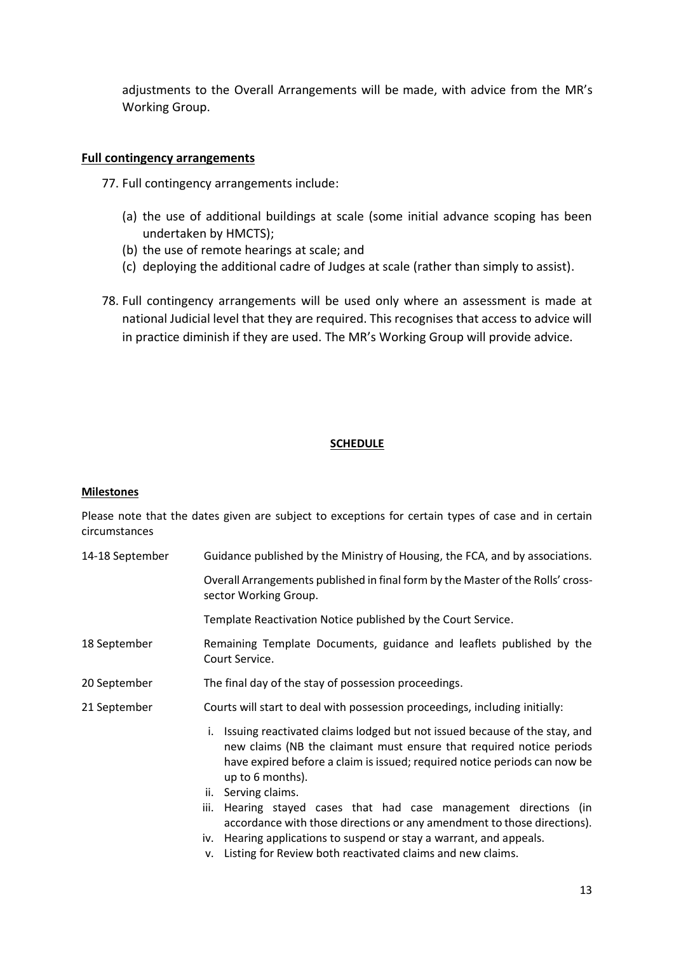adjustments to the Overall Arrangements will be made, with advice from the MR's Working Group.

#### **Full contingency arrangements**

77. Full contingency arrangements include:

- (a) the use of additional buildings at scale (some initial advance scoping has been undertaken by HMCTS);
- (b) the use of remote hearings at scale; and
- (c) deploying the additional cadre of Judges at scale (rather than simply to assist).
- 78. Full contingency arrangements will be used only where an assessment is made at national Judicial level that they are required. This recognises that access to advice will in practice diminish if they are used. The MR's Working Group will provide advice.

#### **SCHEDULE**

#### **Milestones**

Please note that the dates given are subject to exceptions for certain types of case and in certain circumstances

- 14-18 September Guidance published by the Ministry of Housing, the FCA, and by associations.
	- Overall Arrangements published in final form by the Master of the Rolls' crosssector Working Group.
		- Template Reactivation Notice published by the Court Service.
- 18 September Remaining Template Documents, guidance and leaflets published by the Court Service.
- 20 September The final day of the stay of possession proceedings.
- 21 September Courts will start to deal with possession proceedings, including initially:
	- i. Issuing reactivated claims lodged but not issued because of the stay, and new claims (NB the claimant must ensure that required notice periods have expired before a claim is issued; required notice periods can now be up to 6 months).
	- ii. Serving claims.
	- iii. Hearing stayed cases that had case management directions (in accordance with those directions or any amendment to those directions).
	- iv. Hearing applications to suspend or stay a warrant, and appeals.
	- v. Listing for Review both reactivated claims and new claims.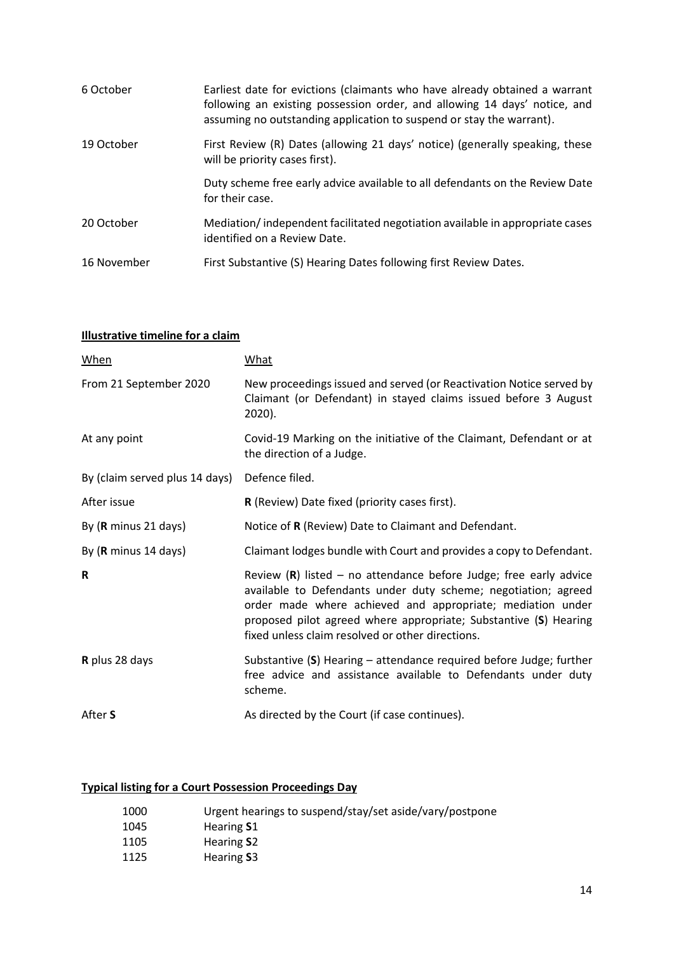| 6 October   | Earliest date for evictions (claimants who have already obtained a warrant<br>following an existing possession order, and allowing 14 days' notice, and<br>assuming no outstanding application to suspend or stay the warrant). |
|-------------|---------------------------------------------------------------------------------------------------------------------------------------------------------------------------------------------------------------------------------|
| 19 October  | First Review (R) Dates (allowing 21 days' notice) (generally speaking, these<br>will be priority cases first).                                                                                                                  |
|             | Duty scheme free early advice available to all defendants on the Review Date<br>for their case.                                                                                                                                 |
| 20 October  | Mediation/independent facilitated negotiation available in appropriate cases<br>identified on a Review Date.                                                                                                                    |
| 16 November | First Substantive (S) Hearing Dates following first Review Dates.                                                                                                                                                               |

## **Illustrative timeline for a claim**

| <b>When</b>                    | What                                                                                                                                                                                                                                                                                                                        |
|--------------------------------|-----------------------------------------------------------------------------------------------------------------------------------------------------------------------------------------------------------------------------------------------------------------------------------------------------------------------------|
| From 21 September 2020         | New proceedings issued and served (or Reactivation Notice served by<br>Claimant (or Defendant) in stayed claims issued before 3 August<br>2020).                                                                                                                                                                            |
| At any point                   | Covid-19 Marking on the initiative of the Claimant, Defendant or at<br>the direction of a Judge.                                                                                                                                                                                                                            |
| By (claim served plus 14 days) | Defence filed.                                                                                                                                                                                                                                                                                                              |
| After issue                    | R (Review) Date fixed (priority cases first).                                                                                                                                                                                                                                                                               |
| By (R minus 21 days)           | Notice of R (Review) Date to Claimant and Defendant.                                                                                                                                                                                                                                                                        |
| By (R minus 14 days)           | Claimant lodges bundle with Court and provides a copy to Defendant.                                                                                                                                                                                                                                                         |
| R                              | Review $(R)$ listed – no attendance before Judge; free early advice<br>available to Defendants under duty scheme; negotiation; agreed<br>order made where achieved and appropriate; mediation under<br>proposed pilot agreed where appropriate; Substantive (S) Hearing<br>fixed unless claim resolved or other directions. |
| R plus 28 days                 | Substantive $(S)$ Hearing – attendance required before Judge; further<br>free advice and assistance available to Defendants under duty<br>scheme.                                                                                                                                                                           |
| After S                        | As directed by the Court (if case continues).                                                                                                                                                                                                                                                                               |

## **Typical listing for a Court Possession Proceedings Day**

| 1000 | Urgent hearings to suspend/stay/set aside/vary/postpone |
|------|---------------------------------------------------------|
| 1045 | Hearing S1                                              |
| 1105 | Hearing S <sub>2</sub>                                  |
| 1125 | Hearing S3                                              |